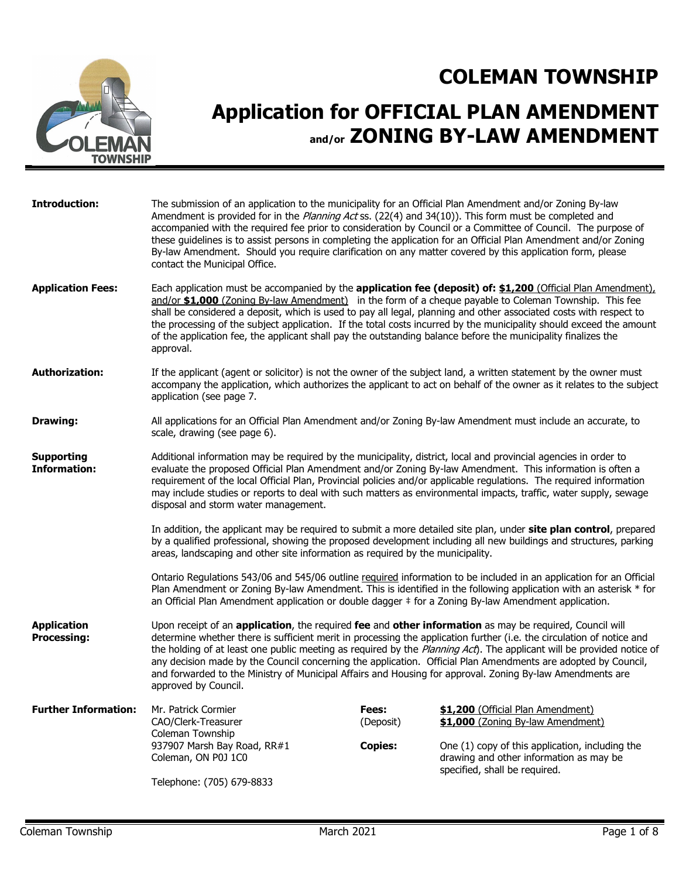

## **Application for OFFICIAL PLAN AMENDMENT and/or ZONING BY-LAW AMENDMENT**

| <b>Introduction:</b>                     | The submission of an application to the municipality for an Official Plan Amendment and/or Zoning By-law<br>Amendment is provided for in the Planning Act ss. (22(4) and 34(10)). This form must be completed and<br>accompanied with the required fee prior to consideration by Council or a Committee of Council. The purpose of<br>these guidelines is to assist persons in completing the application for an Official Plan Amendment and/or Zoning<br>By-law Amendment. Should you require clarification on any matter covered by this application form, please<br>contact the Municipal Office. |                    |                                                                                                                                                                                                                                                                                                                                                                 |  |  |
|------------------------------------------|------------------------------------------------------------------------------------------------------------------------------------------------------------------------------------------------------------------------------------------------------------------------------------------------------------------------------------------------------------------------------------------------------------------------------------------------------------------------------------------------------------------------------------------------------------------------------------------------------|--------------------|-----------------------------------------------------------------------------------------------------------------------------------------------------------------------------------------------------------------------------------------------------------------------------------------------------------------------------------------------------------------|--|--|
| <b>Application Fees:</b>                 | Each application must be accompanied by the application fee (deposit) of: \$1,200 (Official Plan Amendment),<br>and/or \$1,000 (Zoning By-law Amendment) in the form of a cheque payable to Coleman Township. This fee<br>shall be considered a deposit, which is used to pay all legal, planning and other associated costs with respect to<br>the processing of the subject application. If the total costs incurred by the municipality should exceed the amount<br>of the application fee, the applicant shall pay the outstanding balance before the municipality finalizes the<br>approval.    |                    |                                                                                                                                                                                                                                                                                                                                                                 |  |  |
| <b>Authorization:</b>                    | application (see page 7.                                                                                                                                                                                                                                                                                                                                                                                                                                                                                                                                                                             |                    | If the applicant (agent or solicitor) is not the owner of the subject land, a written statement by the owner must<br>accompany the application, which authorizes the applicant to act on behalf of the owner as it relates to the subject                                                                                                                       |  |  |
| <b>Drawing:</b>                          | All applications for an Official Plan Amendment and/or Zoning By-law Amendment must include an accurate, to<br>scale, drawing (see page 6).                                                                                                                                                                                                                                                                                                                                                                                                                                                          |                    |                                                                                                                                                                                                                                                                                                                                                                 |  |  |
| <b>Supporting</b><br><b>Information:</b> | Additional information may be required by the municipality, district, local and provincial agencies in order to<br>evaluate the proposed Official Plan Amendment and/or Zoning By-law Amendment. This information is often a<br>disposal and storm water management.                                                                                                                                                                                                                                                                                                                                 |                    | requirement of the local Official Plan, Provincial policies and/or applicable regulations. The required information<br>may include studies or reports to deal with such matters as environmental impacts, traffic, water supply, sewage                                                                                                                         |  |  |
|                                          | areas, landscaping and other site information as required by the municipality.                                                                                                                                                                                                                                                                                                                                                                                                                                                                                                                       |                    | In addition, the applicant may be required to submit a more detailed site plan, under site plan control, prepared<br>by a qualified professional, showing the proposed development including all new buildings and structures, parking                                                                                                                          |  |  |
|                                          | an Official Plan Amendment application or double dagger # for a Zoning By-law Amendment application.                                                                                                                                                                                                                                                                                                                                                                                                                                                                                                 |                    | Ontario Regulations 543/06 and 545/06 outline required information to be included in an application for an Official<br>Plan Amendment or Zoning By-law Amendment. This is identified in the following application with an asterisk * for                                                                                                                        |  |  |
| <b>Application</b><br><b>Processing:</b> | Upon receipt of an application, the required fee and other information as may be required, Council will<br>and forwarded to the Ministry of Municipal Affairs and Housing for approval. Zoning By-law Amendments are<br>approved by Council.                                                                                                                                                                                                                                                                                                                                                         |                    | determine whether there is sufficient merit in processing the application further (i.e. the circulation of notice and<br>the holding of at least one public meeting as required by the Planning Act). The applicant will be provided notice of<br>any decision made by the Council concerning the application. Official Plan Amendments are adopted by Council, |  |  |
| <b>Further Information:</b>              | Mr. Patrick Cormier<br>CAO/Clerk-Treasurer                                                                                                                                                                                                                                                                                                                                                                                                                                                                                                                                                           | Fees:<br>(Deposit) | \$1,200 (Official Plan Amendment)<br>\$1,000 (Zoning By-law Amendment)                                                                                                                                                                                                                                                                                          |  |  |
|                                          | Coleman Township<br>937907 Marsh Bay Road, RR#1<br>Coleman, ON P0J 1C0                                                                                                                                                                                                                                                                                                                                                                                                                                                                                                                               | <b>Copies:</b>     | One (1) copy of this application, including the<br>drawing and other information as may be<br>specified, shall be required.                                                                                                                                                                                                                                     |  |  |
|                                          | Telephone: (705) 679-8833                                                                                                                                                                                                                                                                                                                                                                                                                                                                                                                                                                            |                    |                                                                                                                                                                                                                                                                                                                                                                 |  |  |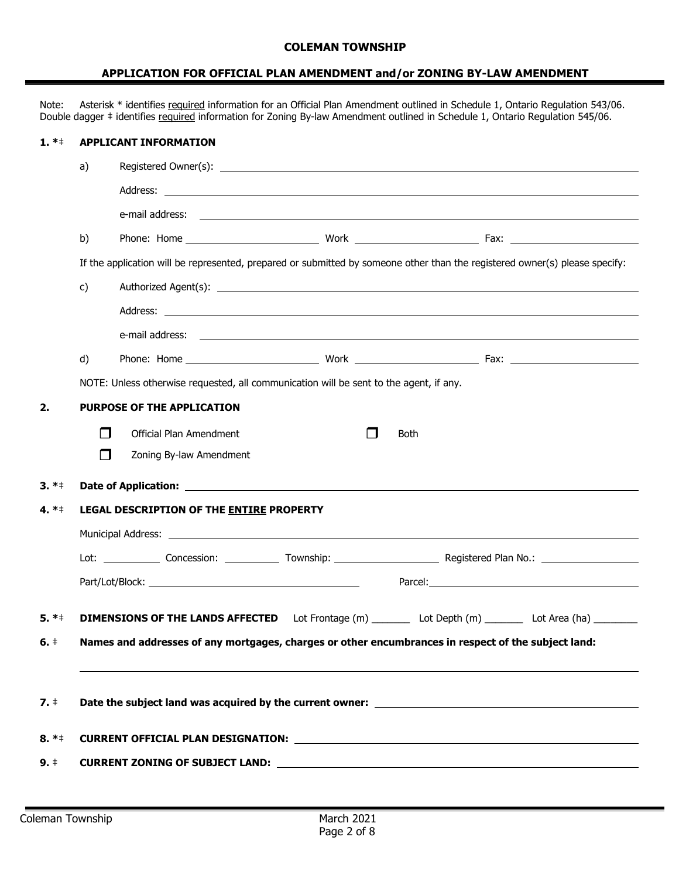#### **APPLICATION FOR OFFICIAL PLAN AMENDMENT and/or ZONING BY-LAW AMENDMENT**

Note: Asterisk \* identifies required information for an Official Plan Amendment outlined in Schedule 1, Ontario Regulation 543/06. Double dagger ‡ identifies required information for Zoning By-law Amendment outlined in Schedule 1, Ontario Regulation 545/06.

#### **1. \***‡ **APPLICANT INFORMATION**

|                     | a)           |                                                                                        |   |                                                                                                                                                                                                                                |
|---------------------|--------------|----------------------------------------------------------------------------------------|---|--------------------------------------------------------------------------------------------------------------------------------------------------------------------------------------------------------------------------------|
|                     |              |                                                                                        |   |                                                                                                                                                                                                                                |
|                     |              |                                                                                        |   |                                                                                                                                                                                                                                |
|                     | b)           |                                                                                        |   |                                                                                                                                                                                                                                |
|                     |              |                                                                                        |   | If the application will be represented, prepared or submitted by someone other than the registered owner(s) please specify:                                                                                                    |
|                     | $\mathsf{c}$ |                                                                                        |   |                                                                                                                                                                                                                                |
|                     |              |                                                                                        |   |                                                                                                                                                                                                                                |
|                     |              |                                                                                        |   |                                                                                                                                                                                                                                |
|                     | d)           |                                                                                        |   |                                                                                                                                                                                                                                |
|                     |              | NOTE: Unless otherwise requested, all communication will be sent to the agent, if any. |   |                                                                                                                                                                                                                                |
| 2.                  |              | <b>PURPOSE OF THE APPLICATION</b>                                                      |   |                                                                                                                                                                                                                                |
|                     | П            | Official Plan Amendment                                                                | ┓ | <b>Both</b>                                                                                                                                                                                                                    |
|                     | $\Box$       | Zoning By-law Amendment                                                                |   |                                                                                                                                                                                                                                |
|                     |              |                                                                                        |   |                                                                                                                                                                                                                                |
| $3. *+$             |              |                                                                                        |   |                                                                                                                                                                                                                                |
| 4. $*$ +            |              | LEGAL DESCRIPTION OF THE ENTIRE PROPERTY                                               |   |                                                                                                                                                                                                                                |
|                     |              |                                                                                        |   |                                                                                                                                                                                                                                |
|                     |              |                                                                                        |   |                                                                                                                                                                                                                                |
|                     |              |                                                                                        |   | Parcel: Parcel and the state of the state of the state of the state of the state of the state of the state of the state of the state of the state of the state of the state of the state of the state of the state of the stat |
|                     |              |                                                                                        |   |                                                                                                                                                                                                                                |
| $5. *‡$             |              |                                                                                        |   | DIMENSIONS OF THE LANDS AFFECTED Lot Frontage (m) _________ Lot Depth (m) ________ Lot Area (ha) ________                                                                                                                      |
| $6.$ $\pm$          |              |                                                                                        |   | Names and addresses of any mortgages, charges or other encumbrances in respect of the subject land:                                                                                                                            |
|                     |              |                                                                                        |   |                                                                                                                                                                                                                                |
| $7. \pm$            |              |                                                                                        |   | Date the subject land was acquired by the current owner: _______________________                                                                                                                                               |
|                     |              |                                                                                        |   |                                                                                                                                                                                                                                |
| $8. * \neq$<br>9. † |              |                                                                                        |   |                                                                                                                                                                                                                                |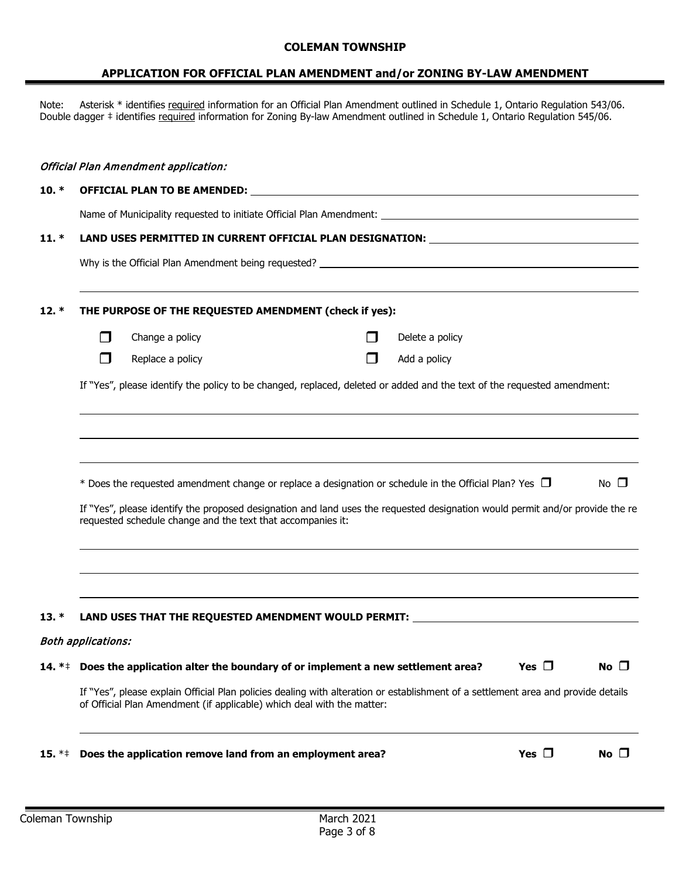#### **APPLICATION FOR OFFICIAL PLAN AMENDMENT and/or ZONING BY-LAW AMENDMENT**

Note: Asterisk \* identifies required information for an Official Plan Amendment outlined in Schedule 1, Ontario Regulation 543/06. Double dagger ‡ identifies required information for Zoning By-law Amendment outlined in Schedule 1, Ontario Regulation 545/06.

### Official Plan Amendment application:

#### **10. \* OFFICIAL PLAN TO BE AMENDED:**

Name of Municipality requested to initiate Official Plan Amendment:

#### **11. \* LAND USES PERMITTED IN CURRENT OFFICIAL PLAN DESIGNATION:**

Why is the Official Plan Amendment being requested?

#### **12. \* THE PURPOSE OF THE REQUESTED AMENDMENT (check if yes):**

 $\Box$  Change a policy  $\Box$  Delete a policy

 $\Box$  Replace a policy  $\Box$  Add a policy

If "Yes", please identify the policy to be changed, replaced, deleted or added and the text of the requested amendment:

| * Does the requested amendment change or replace a designation or schedule in the Official Plan? Yes $\Box$ |  | No $\square$ |
|-------------------------------------------------------------------------------------------------------------|--|--------------|
|-------------------------------------------------------------------------------------------------------------|--|--------------|

If "Yes", please identify the proposed designation and land uses the requested designation would permit and/or provide the re requested schedule change and the text that accompanies it:

#### **13. \* LAND USES THAT THE REQUESTED AMENDMENT WOULD PERMIT:**

#### Both applications:

**14.** \*\* Does the application alter the boundary of or implement a new settlement area? Yes  $\Box$  No  $\Box$ 

If "Yes", please explain Official Plan policies dealing with alteration or establishment of a settlement area and provide details of Official Plan Amendment (if applicable) which deal with the matter:

| 15. $**$ Does the application remove land from an employment area? | Yes $\Box$ | No $\square$ |
|--------------------------------------------------------------------|------------|--------------|
|--------------------------------------------------------------------|------------|--------------|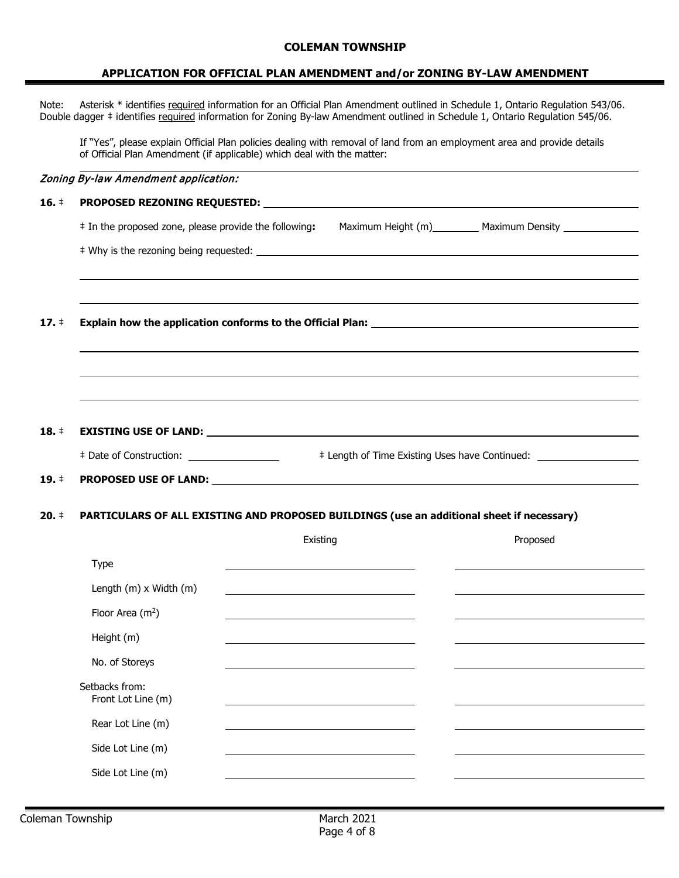#### **APPLICATION FOR OFFICIAL PLAN AMENDMENT and/or ZONING BY-LAW AMENDMENT**

Note: Asterisk \* identifies required information for an Official Plan Amendment outlined in Schedule 1, Ontario Regulation 543/06. Double dagger  $\ddagger$  identifies required information for Zoning By-law Amendment outlined in Schedule 1, Ontario Regulation 545/06.

If "Yes", please explain Official Plan policies dealing with removal of land from an employment area and provide details of Official Plan Amendment (if applicable) which deal with the matter:

|                 | Zoning By-law Amendment application:                                                                                                                                                                                          |                                                                                                                      |                                                                                                                       |                                                                                  |
|-----------------|-------------------------------------------------------------------------------------------------------------------------------------------------------------------------------------------------------------------------------|----------------------------------------------------------------------------------------------------------------------|-----------------------------------------------------------------------------------------------------------------------|----------------------------------------------------------------------------------|
| $16. \;$        |                                                                                                                                                                                                                               |                                                                                                                      |                                                                                                                       |                                                                                  |
|                 | # In the proposed zone, please provide the following:                                                                                                                                                                         |                                                                                                                      |                                                                                                                       | Maximum Height (m) Maximum Density                                               |
|                 |                                                                                                                                                                                                                               |                                                                                                                      |                                                                                                                       |                                                                                  |
|                 |                                                                                                                                                                                                                               |                                                                                                                      |                                                                                                                       |                                                                                  |
| 17.             |                                                                                                                                                                                                                               |                                                                                                                      |                                                                                                                       |                                                                                  |
|                 |                                                                                                                                                                                                                               |                                                                                                                      |                                                                                                                       |                                                                                  |
|                 |                                                                                                                                                                                                                               |                                                                                                                      |                                                                                                                       |                                                                                  |
|                 |                                                                                                                                                                                                                               |                                                                                                                      |                                                                                                                       |                                                                                  |
| $18.$ $\dagger$ |                                                                                                                                                                                                                               |                                                                                                                      |                                                                                                                       |                                                                                  |
|                 |                                                                                                                                                                                                                               |                                                                                                                      |                                                                                                                       | # Length of Time Existing Uses have Continued: _________________________________ |
| $19.$ $\dagger$ | PROPOSED USE OF LAND: Note of the state of the state of the state of the state of the state of the state of the state of the state of the state of the state of the state of the state of the state of the state of the state |                                                                                                                      |                                                                                                                       |                                                                                  |
| $20.$ ‡         | PARTICULARS OF ALL EXISTING AND PROPOSED BUILDINGS (use an additional sheet if necessary)                                                                                                                                     |                                                                                                                      |                                                                                                                       |                                                                                  |
|                 |                                                                                                                                                                                                                               | Existing                                                                                                             |                                                                                                                       | Proposed                                                                         |
|                 | Type                                                                                                                                                                                                                          |                                                                                                                      | <u> 1989 - Johann John Stone, meil in der Stone aus der Stone aus der Stone aus der Stone aus der Stone aus der S</u> |                                                                                  |
|                 | Length (m) x Width (m)                                                                                                                                                                                                        | <u> 1989 - Johann Stein, marwolaethau a bhann an t-Amhair an t-Amhair an t-Amhair an t-Amhair an t-Amhair an t-A</u> |                                                                                                                       |                                                                                  |
|                 | Floor Area $(m^2)$                                                                                                                                                                                                            |                                                                                                                      |                                                                                                                       |                                                                                  |
|                 | Height (m)                                                                                                                                                                                                                    |                                                                                                                      |                                                                                                                       |                                                                                  |
|                 | No. of Storeys                                                                                                                                                                                                                |                                                                                                                      |                                                                                                                       |                                                                                  |
|                 | Setbacks from:<br>Front Lot Line (m)                                                                                                                                                                                          |                                                                                                                      |                                                                                                                       |                                                                                  |
|                 | Rear Lot Line (m)                                                                                                                                                                                                             |                                                                                                                      |                                                                                                                       |                                                                                  |
|                 | Side Lot Line (m)                                                                                                                                                                                                             |                                                                                                                      |                                                                                                                       |                                                                                  |

Side Lot Line (m)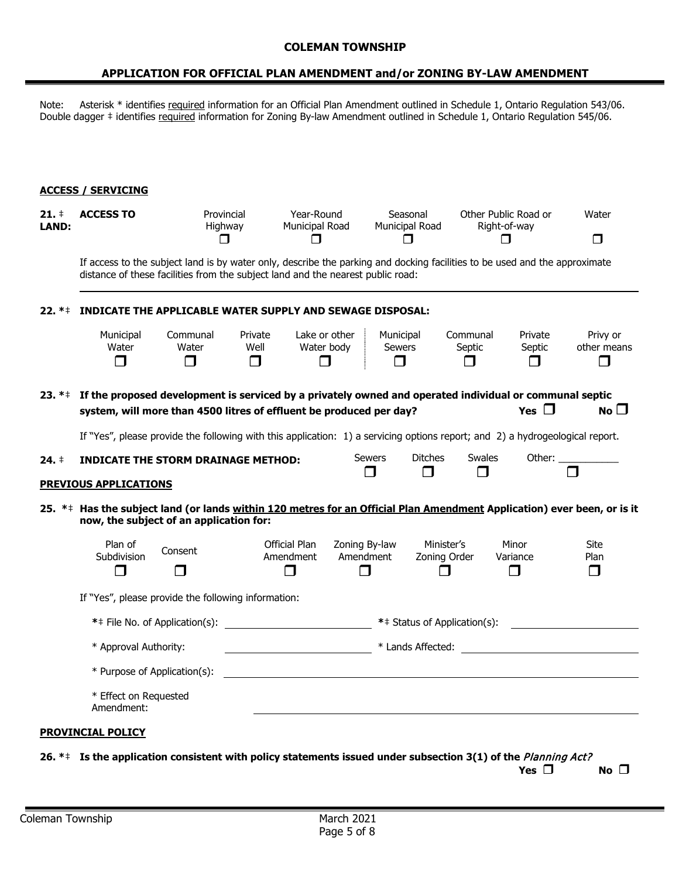#### **APPLICATION FOR OFFICIAL PLAN AMENDMENT and/or ZONING BY-LAW AMENDMENT**

Note: Asterisk \* identifies required information for an Official Plan Amendment outlined in Schedule 1, Ontario Regulation 543/06. Double dagger  $\ddagger$  identifies required information for Zoning By-law Amendment outlined in Schedule 1, Ontario Regulation 545/06.

#### **ACCESS / SERVICING**

| $21.$ ‡<br><b>LAND:</b> | <b>ACCESS TO</b>                                                                                                                                                                                              | Provincial<br>Highway<br>$\Box$ |                           | Year-Round<br>Municipal Road<br>$\Box$ |                            | Seasonal<br>Municipal Road<br>$\Box$                                                                                                                                                                                           |                     |                              | Other Public Road or<br>Right-of-way<br>П | Water<br>◘                        |
|-------------------------|---------------------------------------------------------------------------------------------------------------------------------------------------------------------------------------------------------------|---------------------------------|---------------------------|----------------------------------------|----------------------------|--------------------------------------------------------------------------------------------------------------------------------------------------------------------------------------------------------------------------------|---------------------|------------------------------|-------------------------------------------|-----------------------------------|
|                         | If access to the subject land is by water only, describe the parking and docking facilities to be used and the approximate<br>distance of these facilities from the subject land and the nearest public road: |                                 |                           |                                        |                            |                                                                                                                                                                                                                                |                     |                              |                                           |                                   |
| $22. *+$                | INDICATE THE APPLICABLE WATER SUPPLY AND SEWAGE DISPOSAL:                                                                                                                                                     |                                 |                           |                                        |                            |                                                                                                                                                                                                                                |                     |                              |                                           |                                   |
|                         | Municipal<br>Water<br>$\sqcap$                                                                                                                                                                                | Communal<br>Water<br>$\Box$     | Private<br>Well<br>$\Box$ | Lake or other<br>Water body<br>П       |                            | Municipal<br>Sewers<br>П                                                                                                                                                                                                       |                     | Communal<br>Septic<br>$\Box$ | Private<br>Septic<br>$\Box$               | Privy or<br>other means<br>$\Box$ |
| $23. *+$                | If the proposed development is serviced by a privately owned and operated individual or communal septic<br>system, will more than 4500 litres of effluent be produced per day?                                |                                 |                           |                                        |                            |                                                                                                                                                                                                                                |                     |                              | Yes $\square$                             | No $\square$                      |
|                         | If "Yes", please provide the following with this application: 1) a servicing options report; and 2) a hydrogeological report.                                                                                 |                                 |                           |                                        |                            |                                                                                                                                                                                                                                |                     |                              |                                           |                                   |
| $24. \pm$               | <b>INDICATE THE STORM DRAINAGE METHOD:</b>                                                                                                                                                                    |                                 |                           |                                        | <b>Sewers</b><br>$\Box$    |                                                                                                                                                                                                                                | <b>Ditches</b><br>П | Swales                       |                                           |                                   |
|                         | <b>PREVIOUS APPLICATIONS</b>                                                                                                                                                                                  |                                 |                           |                                        |                            |                                                                                                                                                                                                                                |                     |                              |                                           |                                   |
|                         | 25. ** Has the subject land (or lands within 120 metres for an Official Plan Amendment Application) ever been, or is it<br>now, the subject of an application for:                                            |                                 |                           |                                        |                            |                                                                                                                                                                                                                                |                     |                              |                                           |                                   |
|                         | Plan of<br>Subdivision                                                                                                                                                                                        | Consent                         |                           | <b>Official Plan</b><br>Amendment      | Zoning By-law<br>Amendment |                                                                                                                                                                                                                                | Minister's          |                              | Minor                                     | <b>Site</b>                       |
|                         | $\blacksquare$                                                                                                                                                                                                |                                 |                           | $\blacksquare$                         | ⊓                          |                                                                                                                                                                                                                                | Zoning Order<br>⊓   |                              | Variance<br>$\Box$                        | Plan<br>$\Box$                    |
|                         | If "Yes", please provide the following information:                                                                                                                                                           |                                 |                           |                                        |                            |                                                                                                                                                                                                                                |                     |                              |                                           |                                   |
|                         |                                                                                                                                                                                                               |                                 |                           |                                        |                            |                                                                                                                                                                                                                                |                     | ** Status of Application(s): |                                           |                                   |
|                         | * Approval Authority:<br><u> 1990 - Johann Barbara, martin a</u>                                                                                                                                              |                                 |                           |                                        |                            | * Lands Affected: The state of the state of the state of the state of the state of the state of the state of the state of the state of the state of the state of the state of the state of the state of the state of the state |                     |                              |                                           |                                   |
|                         | * Purpose of Application(s):                                                                                                                                                                                  |                                 |                           |                                        |                            |                                                                                                                                                                                                                                |                     |                              |                                           |                                   |
|                         | * Effect on Requested<br>Amendment:                                                                                                                                                                           |                                 |                           |                                        |                            |                                                                                                                                                                                                                                |                     |                              |                                           |                                   |
|                         | <u>PROVINCIAL POLICY</u>                                                                                                                                                                                      |                                 |                           |                                        |                            |                                                                                                                                                                                                                                |                     |                              |                                           |                                   |

**26. \***‡ **Is the application consistent with policy statements issued under subsection 3(1) of the** Planning Act?

 $Yes \n\Box$  **No**  $\Box$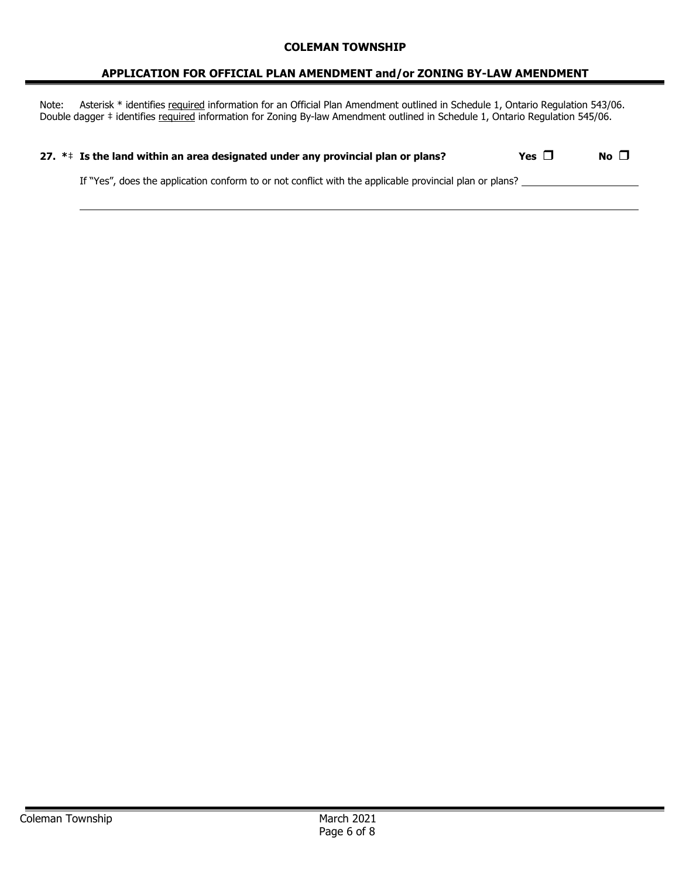#### **APPLICATION FOR OFFICIAL PLAN AMENDMENT and/or ZONING BY-LAW AMENDMENT**

Note: Asterisk \* identifies required information for an Official Plan Amendment outlined in Schedule 1, Ontario Regulation 543/06. Double dagger # identifies required information for Zoning By-law Amendment outlined in Schedule 1, Ontario Regulation 545/06.

| 27. $**$ Is the land within an area designated under any provincial plan or plans?                      | Yes $\Box$ | No $\square$ |
|---------------------------------------------------------------------------------------------------------|------------|--------------|
| If "Yes", does the application conform to or not conflict with the applicable provincial plan or plans? |            |              |
|                                                                                                         |            |              |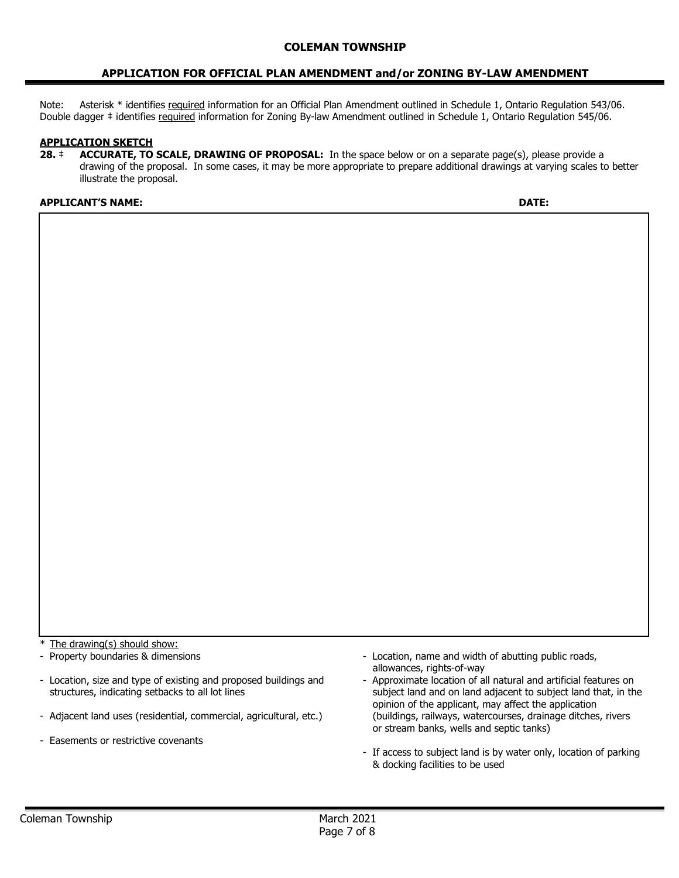#### **APPLICATION FOR OFFICIAL PLAN AMENDMENT and/or ZONING BY-LAW AMENDMENT**

Note: Asterisk \* identifies required information for an Official Plan Amendment outlined in Schedule 1, Ontario Regulation 543/06. Double dagger ‡ identifies required information for Zoning By-law Amendment outlined in Schedule 1, Ontario Regulation 545/06.

#### **APPLICATION SKETCH**

**28.** ‡ **ACCURATE, TO SCALE, DRAWING OF PROPOSAL:** In the space below or on a separate page(s), please provide a drawing of the proposal. In some cases, it may be more appropriate to prepare additional drawings at varying scales to better illustrate the proposal.

#### **APPLICANT'S NAME: DATE:**

The drawing(s) should show:

- Property boundaries & dimensions

- Location, size and type of existing and proposed buildings and structures, indicating setbacks to all lot lines
- Adjacent land uses (residential, commercial, agricultural, etc.)
- Easements or restrictive covenants
- Location, name and width of abutting public roads, allowances, rights-of-way
- Approximate location of all natural and artificial features on subject land and on land adjacent to subject land that, in the opinion of the applicant, may affect the application (buildings, railways, watercourses, drainage ditches, rivers or stream banks, wells and septic tanks)
- If access to subject land is by water only, location of parking & docking facilities to be used